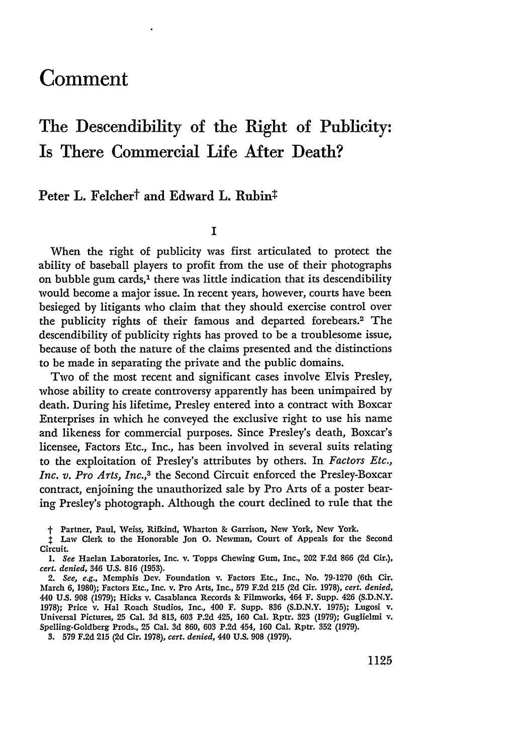## **Comment**

# The Descendibility of the Right of Publicity: Is There Commercial Life After Death?

## Peter L. Felcher<sup>†</sup> and Edward L. Rubin<sup>‡</sup>

#### **I**

When the right of publicity was first articulated to protect the ability of baseball players to profit from the use of their photographs on bubble gum cards,<sup>1</sup> there was little indication that its descendibility would become a major issue. In recent years, however, courts have been besieged by litigants who claim that they should exercise control over the publicity rights of their famous and departed forebears.<sup>2</sup> The descendibility of publicity rights has proved to be a troublesome issue, because of both the nature of the claims presented and the distinctions to be made in separating the private and the public domains.

Two of the most recent and significant cases involve Elvis Presley, whose ability to create controversy apparently has been unimpaired by death. During his lifetime, Presley entered into a contract with Boxcar Enterprises in which he conveyed the exclusive right to use his name and likeness for commercial purposes. Since Presley's death, Boxcar's licensee, Factors Etc., Inc., has been involved in several suits relating to the exploitation of Presley's attributes by others. In *Factors Etc., Inc. v. Pro Arts, Inc.,3* the Second Circuit enforced the Presley-Boxcar contract, enjoining the unauthorized sale by Pro Arts of a poster bearing Presley's photograph. Although the court declined to rule that the

*1. See* Haelan Laboratories, Inc. v. Topps Chewing Gum, Inc., 202 **F.2d 866 (2d** Cir.), *cert. denied,* 346 **U.S. 816 (1953).**

*2. See, e.g.,* Memphis Dev. Foundation v. Factors Etc., Inc., No. 79-1270 (6th Cir. March **6,** 1980); Factors Etc., Inc. v. Pro Arts, Inc., **579** F.2d **215** (2d Cir. 1978), *cert. denied,* 440 U.S. **908** (1979); Hicks v. Casablanca Records **&** Filmworks, 464 F. Supp. 426 (S.D.N.Y. 1978); Price v. Hal Roach Studios, Inc., 400 F. Supp. **836** (S.D.N.Y. 1975); Lugosi v. Universal Pictures, **25** Cal. 3d 813, **603** P.2d 425, **160** Cal. Rptr. 323 (1979); Guglielmi v. Spelling-Goldberg Prods., **25** Cal. 3d 860, 603 P.2d 454, **160** Cal. Rptr. **352** (1979).

3. **579** F.2d 215 (2d Cir. 1978), *cert. denied,* 440 U.S. **908** (1979).

t Partner, Paul, Weiss, Rifkind, Wharton & Garrison, New York, New York. **<sup>+</sup>**Law Clerk to the Honorable Jon **0.** Newman, Court of Appeals for the Second **<sup>+</sup>** Circuit.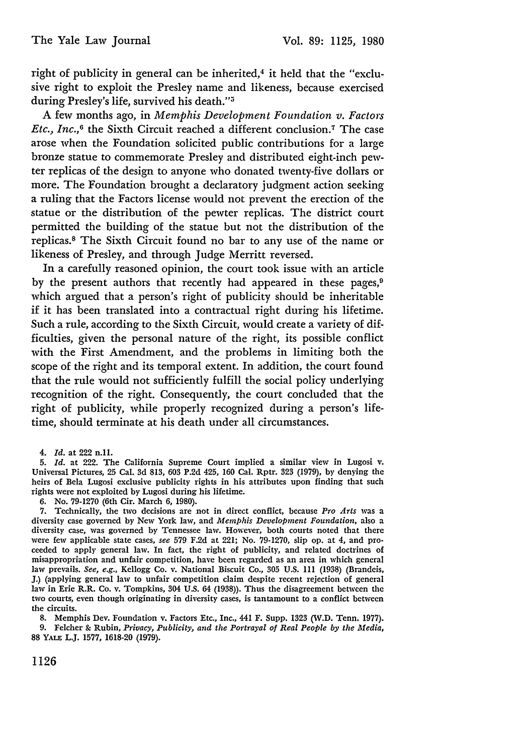right of publicity in general can be inherited,<sup>4</sup> it held that the "exclusive right to exploit the Presley name and likeness, because exercised during Presley's life, survived his death."

A few months ago, in *Memphis Development Foundation v. Factors Etc., Inc.*,<sup>6</sup> the Sixth Circuit reached a different conclusion.<sup>7</sup> The case arose when the Foundation solicited public contributions for a large bronze statue to commemorate Presley and distributed eight-inch pewter replicas of the design to anyone who donated twenty-five dollars or more. The Foundation brought a declaratory judgment action seeking a ruling that the Factors license would not prevent the erection of the statue or the distribution of the pewter replicas. The district court permitted the building of the statue but not the distribution of the replicas.8 The Sixth Circuit found no bar to any use of the name or likeness of Presley, and through Judge Merritt reversed.

In a carefully reasoned opinion, the court took issue with an article by the present authors that recently had appeared in these pages, $9$ which argued that a person's right of publicity should be inheritable if it has been translated into a contractual right during his lifetime. Such a rule, according to the Sixth Circuit, would create a variety of difficulties, given the personal nature of the right, its possible conflict with the First Amendment, and the problems in limiting both the scope of the right and its temporal extent. In addition, the court found that the rule would not sufficiently fulfill the social policy underlying recognition of the right. Consequently, the court concluded that the right of publicity, while properly recognized during a person's lifetime, should terminate at his death under all circumstances.

6. No. 79-1270 (6th Cir. March 6, 1980).

7. Technically, the two decisions are not in direct conflict, because *Pro Arts* was a diversity case governed by New York law, and *Memphis Development Foundation,* also a diversity case, was governed by Tennessee law. However, both courts noted that there were few applicable state cases, *see* **579** F.2d at 221; No. 79-1270, slip op. at 4, and proceeded to apply general law. In fact, the right of publicity, and related doctrines of misappropriation and unfair competition, have been regarded as an area in which general law prevails. See, *e.g.,* Kellogg Co. v. National Biscuit Co., 305 U.S. **111** (1938) (Brandeis, J.) (applying general law to unfair competition claim despite recent rejection of general law in Erie R.R. Co. v. Tompkins, 304 **US.** 64 (1938)). Thus the disagreement between the two courts, even though originating in diversity cases, is tantamount to a conflict between the circuits.

8. Memphis Dev. Foundation v. Factors Etc., Inc., 441 F. Supp. **1323** (W.D. Tenn. 1977). **9.** Felcher & Rubin, *Privacy, Publicity, and the Portrayal of Real People by the Media,* **88** YALE **LJ. 1577, 1618-20 (1979).**

*<sup>4.</sup> Id.* at 222 n.11.

**<sup>5.</sup>** *Id.* at 222. The California Supreme Court implied a similar view in Lugosi v. Universal Pictures, **25** Cal. 3d 813, **603** P.2d 425, 160 Cal. Rptr. 323 (1979), by denying the heirs of Bela Lugosi exclusive publicity rights in his attributes upon finding that such rights were not exploited by Lugosi during his lifetime.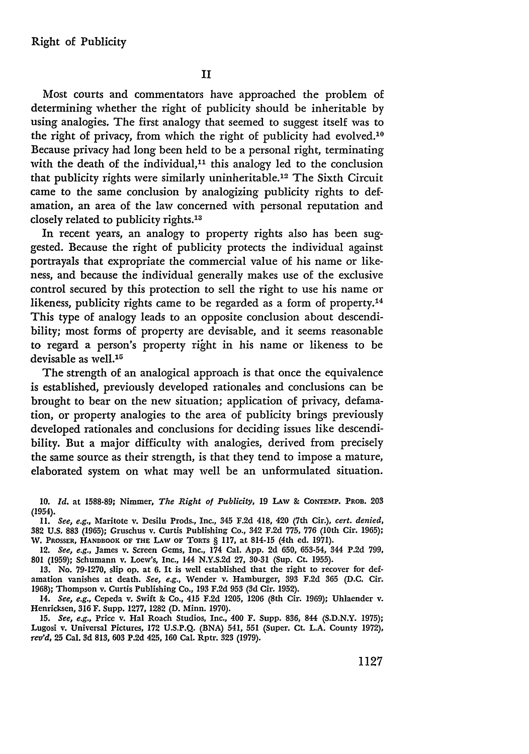Most courts and commentators have approached the problem of determining whether the right of publicity should be inheritable by using analogies. The first analogy that seemed to suggest itself was to the right of privacy, from which the right of publicity had evolved.<sup>10</sup> Because privacy had long been held to be a personal right, terminating with the death of the individual, $11$  this analogy led to the conclusion that publicity rights were similarly uninheritable. 12 The Sixth Circuit came to the same conclusion by analogizing publicity rights to defamation, an area of the law concerned with personal reputation and closely related to publicity rights. <sup>13</sup>

In recent years, an analogy to property rights also has been suggested. Because the right of publicity protects the individual against portrayals that expropriate the commercial value of his name or likeness, and because the individual generally makes use of the exclusive control secured by this protection to sell the right to use his name or likeness, publicity rights came to be regarded as a form of property.<sup>14</sup> This type of analogy leads to an opposite conclusion about descendibility; most forms of property are devisable, and it seems reasonable to regard a person's property right in his name or likeness to be devisable as well.<sup>15</sup>

The strength of an analogical approach is that once the equivalence is established, previously developed rationales and conclusions can be brought to bear on the new situation; application of privacy, defamation, or property analogies to the area of publicity brings previously developed rationales and conclusions for deciding issues like descendibility. But a major difficulty with analogies, derived from precisely the same source as their strength, is that they tend to impose a mature, elaborated system on what may well be an unformulated situation.

**13.** No. **79-1270,** slip op. at 6. It is well established that the right to recover for defamation vanishes at death. *See, e.g.,* Wender v. Hamburger, **393 F.2d 365** (D.C. Cir. **1968);** Thompson v. Curtis Publishing Co., **193** F.2d **953** (3d Cir. 1952).

14. *See, e.g.,* Cepeda v. Swift **&** Co., 415 F.2d **1205, 1206** (8th Cir. 1969); Uhlaender v. Henricksen, 316 F. Supp. **1277,** 1282 **(D.** Minn. 1970).

**15.** *See, e.g.,* Price v. Hal Roach Studios, Inc., 400 F. Supp. 836, 844 (S.D.N.Y. 1975); Lugosi v. Universal Pictures, **172** U.S.P.Q. (BNA) 541, **551** (Super. Ct. L.A. County 1972), *rev'd,* **25** Cal. 3d **813, 603 P.2d** 425, **160** Cal. Rptr. **323** (1979).

*<sup>10.</sup> Id.* at **1588-89;** Nimmer, *The Right of Publicity,* **19** LAw **& CoNTEMP. PROB. 203** (1954).

*<sup>11.</sup> See, e.g.,* Maritote v. Desilu Prods., Inc., 345 F.2d 418, 420 (7th Cir.), *cert. denied,* **382** U.S. **883 (1965);** Gruschus v. Curtis Publishing Co., 342 F.2d **775, 776** (10th Cir. 1965); W. PROSSER, HANDBOOK **OF THE LAW OF** TORTS § **117,** at 814-15 (4th ed. 1971).

*<sup>12.</sup> See, e.g.,* James v. Screen Gems, Inc., 174 Cal. App. **2d** 650, 653-54, *344* **P.2d 799, 801** (1959); Schumann v. Loew's, Inc., 144 N.Y.S.2d **27,** 30-31 **(Sup.** Ct. 1955).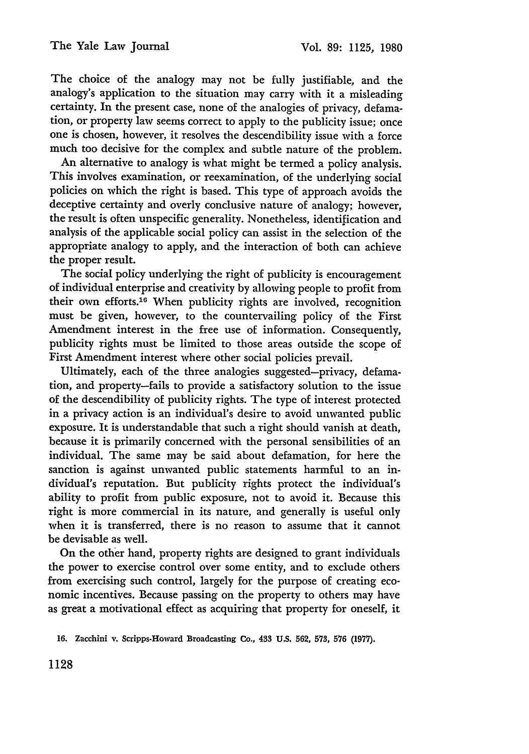The choice of the analogy may not be fully justifiable, and the analogy's application to the situation may carry with it a misleading certainty. In the present case, none of the analogies of privacy, defamation, or property law seems correct to apply to the publicity issue; once one is chosen, however, it resolves the descendibility issue with a force much too decisive for the complex and subtle nature of the problem.

An alternative to analogy is what might be termed a policy analysis. This involves examination, or reexamination, of the underlying social policies on which the right is based. This type of approach avoids the deceptive certainty and overly conclusive nature of analogy; however, the result is often unspecific generality. Nonetheless, identification and analysis of the applicable social policy can assist in the selection of the appropriate analogy to apply, and the interaction of both can achieve the proper result.

The social policy underlying the right of publicity is encouragement of individual enterprise and creativity by allowing people to profit from their own efforts.16 When publicity rights are involved, recognition must be given, however, to the countervailing policy of the First Amendment interest in the free use of information. Consequently, publicity rights must be limited to those areas outside the scope of First Amendment interest where other social policies prevail.

Ultimately, each of the three analogies suggested-privacy, defamation, and property-fails to provide a satisfactory solution to the issue of the descendibility of publicity rights. The type of interest protected in a privacy action is an individual's desire to avoid unwanted public exposure. It is understandable that such a right should vanish at death, because it is primarily concerned with the personal sensibilities of an individual. The same may be said about defamation, for here the sanction is against unwanted public statements harmful to an individual's reputation. But publicity rights protect the individual's ability to profit from public exposure, not to avoid it. Because this right is more commercial in its nature, and generally is useful only when it is transferred, there is no reason to assume that it cannot be devisable as well.

On the other hand, property rights are designed to grant individuals the power to exercise control over some entity, and to exclude others from exercising such control, largely for the purpose of creating economic incentives. Because passing on the property to others may have as great a motivational effect as acquiring that property for oneself, it

**<sup>16.</sup>** Zacchini v. Scripps-Howard Broadcasting Co., 433 **U.S.** 562, **573, 576 (1977).**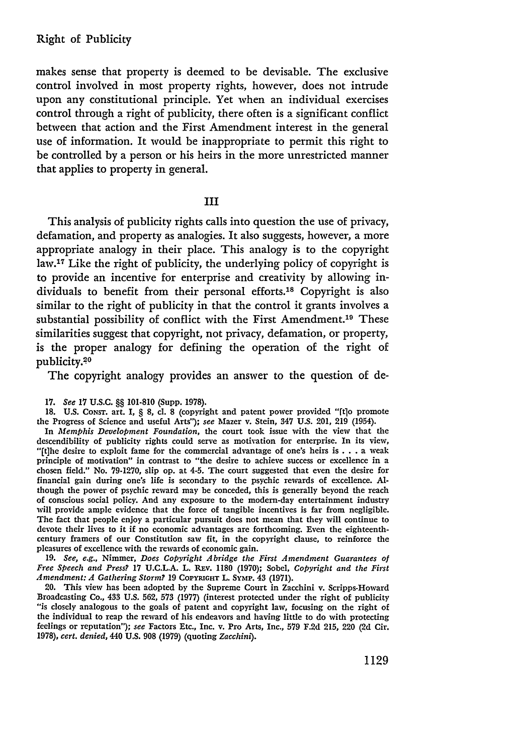makes sense that property is deemed to be devisable. The exclusive control involved in most property rights, however, does not intrude upon any constitutional principle. Yet when an individual exercises control through a right of publicity, there often is a significant conflict between that action and the First Amendment interest in the general use of information. It would be inappropriate to permit this right to be controlled **by** a person or his heirs in the more unrestricted manner that applies to property in general.

#### III

This analysis of publicity rights calls into question the use of privacy, defamation, and property as analogies. It also suggests, however, a more appropriate analogy in their place. This analogy is to the copyright law.<sup>17</sup> Like the right of publicity, the underlying policy of copyright is to provide an incentive for enterprise and creativity **by** allowing individuals to benefit from their personal efforts.<sup>18</sup> Copyright is also similar to the right of publicity in that the control it grants involves a substantial possibility of conflict with the First Amendment.<sup>19</sup> These similarities suggest that copyright, not privacy, defamation, or property, is the proper analogy for defining the operation of the right of publicity.<sup>20</sup>

The copyright analogy provides an answer to the question of de-

#### **17.** *See* 17 **U.S.C.** §§ **101-810** (Supp. 1978).

18. U.S. CONsT. art. I, § 8, cl. 8 (copyright and patent power provided "[tio promote the Progress of Science and useful Arts"); *see* Mazer v. Stein, 347 U.S. 201, 219 (1954).

In *Memphis Development Foundation,* the court took issue with the view that the descendibility of publicity rights could serve as motivation for enterprise. In its view, "[t]he desire to exploit fame for the commercial advantage of one's heirs is . .**.**a weak principle of motivation" in contrast to "the desire to achieve success or excellence in a chosen field." No. 79-1270, slip op. at 4-5. The court suggested that even the desire for financial gain during one's life is secondary to the psychic rewards of excellence. **Al**though the power of psychic reward may be conceded, this is generally beyond the reach of conscious social policy. And any exposure to the modem-day entertainment industry will provide ample evidence that the force of tangible incentives is far from negligible. The fact that people enjoy a particular pursuit does not mean that they will continue to devote their lives to it if no economic advantages are forthcoming. Even the eighteenthcentury framers of our Constitution saw fit, in the copyright clause, to reinforce the pleasures of excellence with the rewards of economic gain.

19. *See, e.g.,* Nimmer, *Does Copyright Abridge the First Amendment Guarantees of Free Speech and Press?* 17 U.C.L.A. L. REv. 1180 (1970); Sobel, *Copyright and the First Amendment: A Gathering Storm? 19 COPYRIGHT L. SYMP. 43 (1971).* 

20. This view has been adopted by the Supreme Court in Zacchini v. Scripps-Howard Broadcasting Co., 433 U.S. 562, 573 (1977) (interest protected under the right of publicity "is closely analogous to the goals of patent and copyright law, focusing on the right of the individual to reap the reward of his endeavors and having little to do with protecting feelings or reputation"); *see* Factors Etc., Inc. v. Pro Arts, Inc., 579 F.2d 215, 220 (2d Cir. 1978), *cert. denied,* 440 U.S. 908 (1979) (quoting *Zacchini).*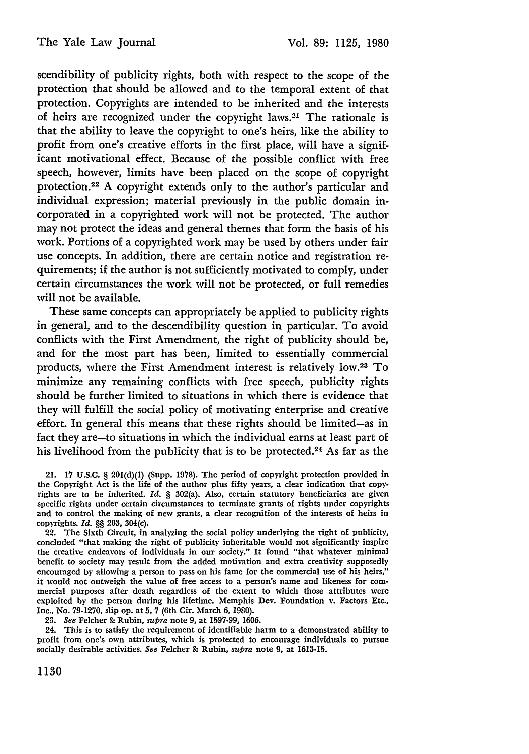scendibility of publicity rights, both with respect to the scope of the protection that should be allowed and to the temporal extent of that protection. Copyrights are intended to be inherited and the interests of heirs are recognized under the copyright laws. 21 The rationale is that the ability to leave the copyright to one's heirs, like the ability to profit from one's creative efforts in the first place, will have a significant motivational effect. Because of the possible conflict with free speech, however, limits have been placed on the scope of copyright protection.<sup>22</sup> A copyright extends only to the author's particular and individual expression; material previously in the public domain incorporated in a copyrighted work will not be protected. The author may not protect the ideas and general themes that form the basis of his work. Portions of a copyrighted work may be used by others under fair use concepts. In addition, there are certain notice and registration requirements; if the author is not sufficiently motivated to comply, under certain circumstances the work will not be protected, or full remedies will not be available.

These same concepts can appropriately be applied to publicity rights in general, and to the descendibility question in particular. To avoid conflicts with the First Amendment, the right of publicity should be, and for the most part has been, limited to essentially commercial products, where the First Amendment interest is relatively low.<sup>23</sup> To minimize any remaining conflicts with free speech, publicity rights should be further limited to situations in which there is evidence that they will fulfill the social policy of motivating enterprise and creative effort. In general this means that these rights should be limited-as in fact they are-to situations in which the individual earns at least part of his livelihood from the publicity that is to be protected.<sup>24</sup> As far as the

21. 17 U.S.C. § 201(d)(1) (Supp. 1978). The period of copyright protection provided in the Copyright Act is the life of the author plus fifty years, a clear indication that copyrights are to be inherited. *Id.* § 302(a). Also, certain statutory beneficiaries are given specific rights under certain circumstances to terminate grants of rights under copyrights and to control the making of new grants, a clear recognition of the interests of heirs in copyrights. *Id.* §§ **203,** 304(c).

22. The Sixth Circuit, in analyzing the social policy underlying the right of publicity, concluded "that making the right of publicity inheritable would not significantly inspire the creative endeavors of individuals in our society." It found "that whatever minimal benefit to society may result from the added motivation and extra creativity supposedly encouraged **by** allowing a person to pass on his fame for the commercial use of his heirs," it would not outweigh the value of free access to a person's name and likeness for commercial purposes after death regardless of the extent to which those attributes were exploited **by** the person during his lifetime. Memphis Dev. Foundation v. Factors Etc., Inc., No. **79-1270,** slip op. at **5, 7** (6th Cir. March **6, 1980).**

**23.** *See* Felcher **&** Rubin, *sukra* note **9,** at **1597-99, 1606.**

24. This is to satisfy the requirement of identifiable harm to a demonstrated ability to profit from one's own attributes, which is protected to encourage individuals to pursue socially desirable activities. *See* Felcher **&** Rubin, *supra* note **9,** at 1613-15.

**1130**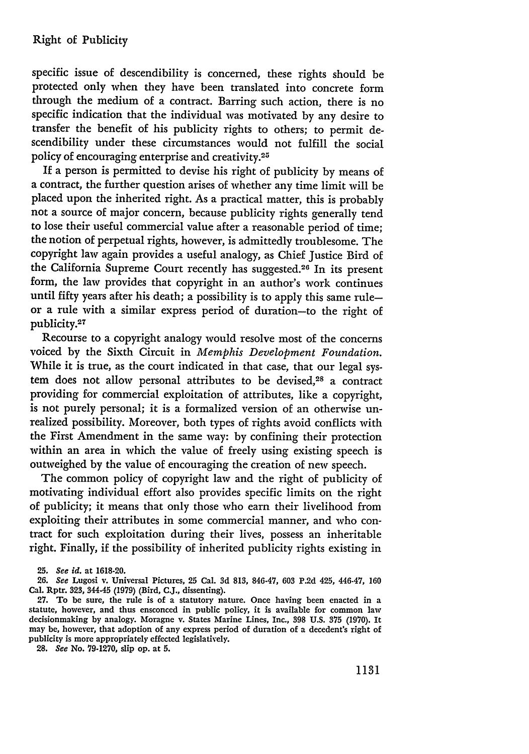specific issue of descendibility is concerned, these rights should be protected only when they have been translated into concrete form through the medium of a contract. Barring such action, there is no specific indication that the individual was motivated by any desire to transfer the benefit of his publicity rights to others; to permit descendibility under these circumstances would not fulfill the social policy of encouraging enterprise and creativity.<sup>25</sup>

If a person is permitted to devise his right of publicity by means of a contract, the further question arises of whether any time limit will be placed upon the inherited right. As a practical matter, this is probably not a source of major concern, because publicity rights generally tend to lose their useful commercial value after a reasonable period of time; the notion of perpetual rights, however, is admittedly troublesome. The copyright law again provides a useful analogy, as Chief Justice Bird of the California Supreme Court recently has suggested. 26 In its present form, the law provides that copyright in an author's work continues until fifty years after his death; a possibility is to apply this same ruleor a rule with a similar express period of duration-to the right of publicity.<sup>27</sup>

Recourse to a copyright analogy would resolve most of the concerns voiced by the Sixth Circuit in *Memphis Development Foundation.* While it is true, as the court indicated in that case, that our legal system does not allow personal attributes to be devised,<sup>28</sup> a contract providing for commercial exploitation of attributes, like a copyright, is not purely personal; it is a formalized version of an otherwise unrealized possibility. Moreover, both types of rights avoid conflicts with the First Amendment in the same way: by confining their protection within an area in which the value of freely using existing speech is outweighed by the value of encouraging the creation of new speech.

The common policy of copyright law and the right of publicity of motivating individual effort also provides specific limits on the right of publicity; it means that only those who earn their livelihood from exploiting their attributes in some commercial manner, and who contract for such exploitation during their lives, possess an inheritable right. Finally, if the possibility of inherited publicity rights existing in

**28.** *See* No. **79-1270,** slip op. at **5.**

**<sup>25.</sup>** *See id.* at **1618-20.**

**<sup>26.</sup>** *See* Lugosi v. Universal Pictures, **25** Cal. **3d 813,** 846-47, **603 P.2d** 425, 446-47, **160** Cal. Rptr. **323,** 344-45 (1979) (Bird, **C.J.,** dissenting).

**<sup>27.</sup>** To be sure, the rule is of a statutory nature. Once having been enacted in a statute, however, and thus ensconced in public policy, it is available for common law decisionmaking by analogy. Moragne v. States Marine Lines, Inc., **398 U.S. 375** (1970). It may be, however, that adoption of any express period of duration of a decedent's right of publicity is more appropriately effected legislatively.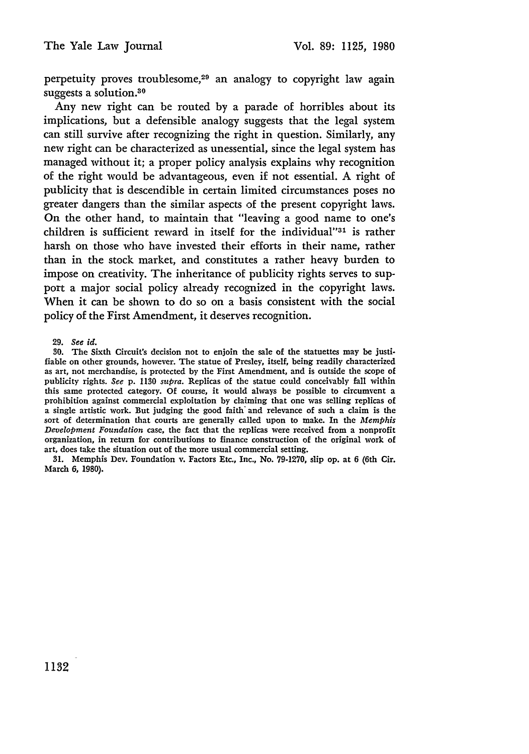perpetuity proves troublesome,<sup>29</sup> an analogy to copyright law again suggests a solution.30

Any new right can **be** routed **by** a parade of horribles about its implications, but a defensible analogy suggests that the legal system can still survive after recognizing the right in question. Similarly, any new right can be characterized as unessential, since the legal system has managed without it; a proper policy analysis explains why recognition of the right would be advantageous, even if not essential. **A** right of publicity that is descendible in certain limited circumstances poses no greater dangers than the similar aspects of the present copyright laws. On the other hand, to maintain that "leaving a good name to one's children is sufficient reward in itself for the individual"<sup>31</sup> is rather harsh on those who have invested their efforts in their name, rather than in the stock market, and constitutes a rather heavy burden to impose on creativity. The inheritance of publicity rights serves to **sup**port a major social policy already recognized in the copyright laws. When it can be shown to do so on a basis consistent with the social policy of the First Amendment, it deserves recognition.

**29.** *See id.*

**80.** The Sixth Circuit's decision not to enjoin the sale of the statuettes may be justifiable on other grounds, however. The statue of Presley, itself, being readily characterized as art, not merchandise, is protected **by** the First Amendment, and is outside the scope of publicity rights. *See* p. 1130 *supra*. Replicas of the statue could conceivably fall within this same protected category. Of course, it would always be possible to circumvent a prohibition against commercial exploitation by claiming that one was selling replicas of a single artistic work. But judging the good faith and relevance of such a claim is the sort of determination that courts are generally called upon to make. In the *Memphis Development Foundation* case, the fact that the replicas were received from a nonprofit organization, in return for contributions to finance construction **of** the original work of art, does take the situation out of the more usual commercial setting.

**31.** Memphis Dev. Foundation v. Factors Etc., Inc., No. **79-1270,** slip op. at **6** (6th Cir. March **6, 1980).**